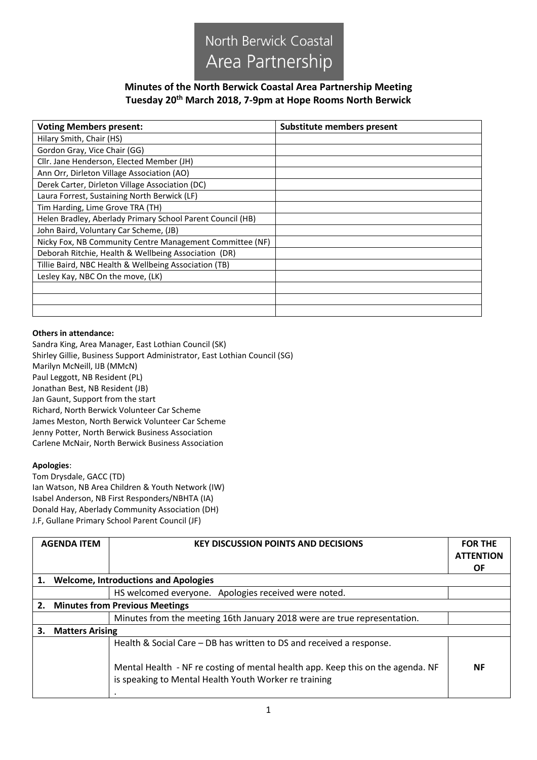

## **Minutes of the North Berwick Coastal Area Partnership Meeting Tuesday 20th March 2018, 7-9pm at Hope Rooms North Berwick**

| <b>Voting Members present:</b>                             | Substitute members present |
|------------------------------------------------------------|----------------------------|
| Hilary Smith, Chair (HS)                                   |                            |
| Gordon Gray, Vice Chair (GG)                               |                            |
| Cllr. Jane Henderson, Elected Member (JH)                  |                            |
| Ann Orr, Dirleton Village Association (AO)                 |                            |
| Derek Carter, Dirleton Village Association (DC)            |                            |
| Laura Forrest, Sustaining North Berwick (LF)               |                            |
| Tim Harding, Lime Grove TRA (TH)                           |                            |
| Helen Bradley, Aberlady Primary School Parent Council (HB) |                            |
| John Baird, Voluntary Car Scheme, (JB)                     |                            |
| Nicky Fox, NB Community Centre Management Committee (NF)   |                            |
| Deborah Ritchie, Health & Wellbeing Association (DR)       |                            |
| Tillie Baird, NBC Health & Wellbeing Association (TB)      |                            |
| Lesley Kay, NBC On the move, (LK)                          |                            |
|                                                            |                            |
|                                                            |                            |
|                                                            |                            |

## **Others in attendance:**

Sandra King, Area Manager, East Lothian Council (SK) Shirley Gillie, Business Support Administrator, East Lothian Council (SG) Marilyn McNeill, IJB (MMcN) Paul Leggott, NB Resident (PL) Jonathan Best, NB Resident (JB) Jan Gaunt, Support from the start Richard, North Berwick Volunteer Car Scheme James Meston, North Berwick Volunteer Car Scheme Jenny Potter, North Berwick Business Association Carlene McNair, North Berwick Business Association

## **Apologies**:

Tom Drysdale, GACC (TD) Ian Watson, NB Area Children & Youth Network (IW) Isabel Anderson, NB First Responders/NBHTA (IA) Donald Hay, Aberlady Community Association (DH) J.F, Gullane Primary School Parent Council (JF)

|                                             | <b>AGENDA ITEM</b>                          | <b>KEY DISCUSSION POINTS AND DECISIONS</b>                                                                                               | <b>FOR THE</b><br><b>ATTENTION</b><br>ΟF |
|---------------------------------------------|---------------------------------------------|------------------------------------------------------------------------------------------------------------------------------------------|------------------------------------------|
| 1.                                          | <b>Welcome, Introductions and Apologies</b> |                                                                                                                                          |                                          |
|                                             |                                             | HS welcomed everyone. Apologies received were noted.                                                                                     |                                          |
| <b>Minutes from Previous Meetings</b><br>2. |                                             |                                                                                                                                          |                                          |
|                                             |                                             | Minutes from the meeting 16th January 2018 were are true representation.                                                                 |                                          |
| <b>Matters Arising</b><br>3.                |                                             |                                                                                                                                          |                                          |
|                                             |                                             | Health & Social Care - DB has written to DS and received a response.                                                                     |                                          |
|                                             |                                             | Mental Health - NF re costing of mental health app. Keep this on the agenda. NF<br>is speaking to Mental Health Youth Worker re training | <b>NF</b>                                |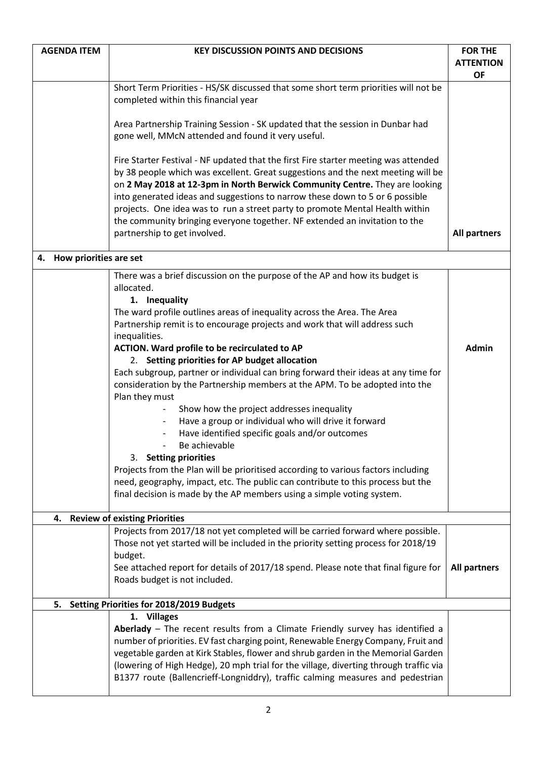| <b>AGENDA ITEM</b>                             | <b>KEY DISCUSSION POINTS AND DECISIONS</b>                                                                                                                                                                                                                                                                                                                                                                                                                                                                                           | <b>FOR THE</b><br><b>ATTENTION</b> |
|------------------------------------------------|--------------------------------------------------------------------------------------------------------------------------------------------------------------------------------------------------------------------------------------------------------------------------------------------------------------------------------------------------------------------------------------------------------------------------------------------------------------------------------------------------------------------------------------|------------------------------------|
|                                                |                                                                                                                                                                                                                                                                                                                                                                                                                                                                                                                                      | <b>OF</b>                          |
|                                                | Short Term Priorities - HS/SK discussed that some short term priorities will not be<br>completed within this financial year                                                                                                                                                                                                                                                                                                                                                                                                          |                                    |
|                                                | Area Partnership Training Session - SK updated that the session in Dunbar had<br>gone well, MMcN attended and found it very useful.                                                                                                                                                                                                                                                                                                                                                                                                  |                                    |
|                                                | Fire Starter Festival - NF updated that the first Fire starter meeting was attended<br>by 38 people which was excellent. Great suggestions and the next meeting will be<br>on 2 May 2018 at 12-3pm in North Berwick Community Centre. They are looking<br>into generated ideas and suggestions to narrow these down to 5 or 6 possible<br>projects. One idea was to run a street party to promote Mental Health within<br>the community bringing everyone together. NF extended an invitation to the<br>partnership to get involved. | <b>All partners</b>                |
| How priorities are set<br>4.                   |                                                                                                                                                                                                                                                                                                                                                                                                                                                                                                                                      |                                    |
|                                                | There was a brief discussion on the purpose of the AP and how its budget is<br>allocated.<br>1. Inequality<br>The ward profile outlines areas of inequality across the Area. The Area<br>Partnership remit is to encourage projects and work that will address such                                                                                                                                                                                                                                                                  |                                    |
|                                                | inequalities.                                                                                                                                                                                                                                                                                                                                                                                                                                                                                                                        |                                    |
|                                                | ACTION. Ward profile to be recirculated to AP<br>2. Setting priorities for AP budget allocation                                                                                                                                                                                                                                                                                                                                                                                                                                      | <b>Admin</b>                       |
|                                                | Each subgroup, partner or individual can bring forward their ideas at any time for<br>consideration by the Partnership members at the APM. To be adopted into the<br>Plan they must                                                                                                                                                                                                                                                                                                                                                  |                                    |
|                                                | Show how the project addresses inequality<br>Have a group or individual who will drive it forward<br>Have identified specific goals and/or outcomes<br>Be achievable                                                                                                                                                                                                                                                                                                                                                                 |                                    |
|                                                | 3. Setting priorities                                                                                                                                                                                                                                                                                                                                                                                                                                                                                                                |                                    |
|                                                | Projects from the Plan will be prioritised according to various factors including<br>need, geography, impact, etc. The public can contribute to this process but the<br>final decision is made by the AP members using a simple voting system.                                                                                                                                                                                                                                                                                       |                                    |
|                                                | 4. Review of existing Priorities                                                                                                                                                                                                                                                                                                                                                                                                                                                                                                     |                                    |
|                                                | Projects from 2017/18 not yet completed will be carried forward where possible.<br>Those not yet started will be included in the priority setting process for 2018/19<br>budget.                                                                                                                                                                                                                                                                                                                                                     |                                    |
|                                                | See attached report for details of 2017/18 spend. Please note that final figure for<br>Roads budget is not included.                                                                                                                                                                                                                                                                                                                                                                                                                 | All partners                       |
| Setting Priorities for 2018/2019 Budgets<br>5. |                                                                                                                                                                                                                                                                                                                                                                                                                                                                                                                                      |                                    |
|                                                | 1. Villages<br>Aberlady - The recent results from a Climate Friendly survey has identified a<br>number of priorities. EV fast charging point, Renewable Energy Company, Fruit and<br>vegetable garden at Kirk Stables, flower and shrub garden in the Memorial Garden<br>(lowering of High Hedge), 20 mph trial for the village, diverting through traffic via<br>B1377 route (Ballencrieff-Longniddry), traffic calming measures and pedestrian                                                                                     |                                    |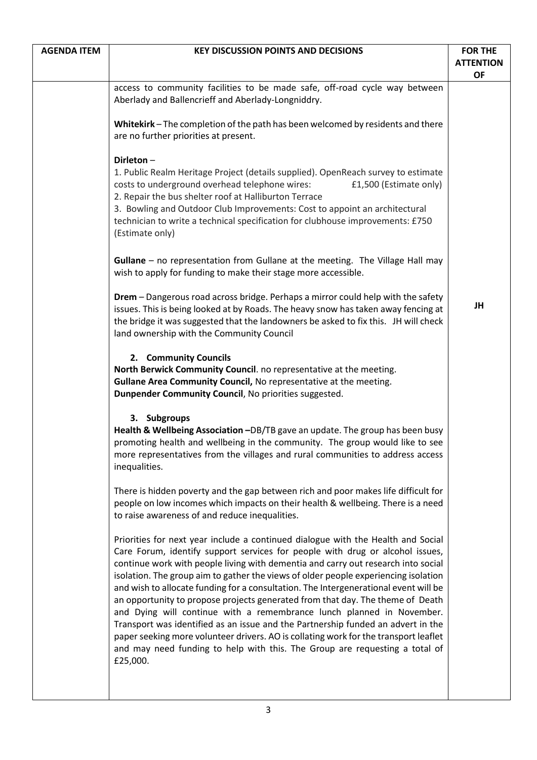| <b>AGENDA ITEM</b> | <b>KEY DISCUSSION POINTS AND DECISIONS</b>                                                                                                                                                                                                                                                                                                                                                                                                                                                                                                                                                                                                                                                                                                                                                                                                                              | <b>FOR THE</b><br><b>ATTENTION</b><br><b>OF</b> |
|--------------------|-------------------------------------------------------------------------------------------------------------------------------------------------------------------------------------------------------------------------------------------------------------------------------------------------------------------------------------------------------------------------------------------------------------------------------------------------------------------------------------------------------------------------------------------------------------------------------------------------------------------------------------------------------------------------------------------------------------------------------------------------------------------------------------------------------------------------------------------------------------------------|-------------------------------------------------|
|                    | access to community facilities to be made safe, off-road cycle way between<br>Aberlady and Ballencrieff and Aberlady-Longniddry.                                                                                                                                                                                                                                                                                                                                                                                                                                                                                                                                                                                                                                                                                                                                        |                                                 |
|                    | Whitekirk - The completion of the path has been welcomed by residents and there<br>are no further priorities at present.                                                                                                                                                                                                                                                                                                                                                                                                                                                                                                                                                                                                                                                                                                                                                |                                                 |
|                    | Dirleton-<br>1. Public Realm Heritage Project (details supplied). OpenReach survey to estimate<br>costs to underground overhead telephone wires:<br>£1,500 (Estimate only)<br>2. Repair the bus shelter roof at Halliburton Terrace<br>3. Bowling and Outdoor Club Improvements: Cost to appoint an architectural<br>technician to write a technical specification for clubhouse improvements: £750<br>(Estimate only)                                                                                                                                                                                                                                                                                                                                                                                                                                                  |                                                 |
|                    | Gullane - no representation from Gullane at the meeting. The Village Hall may<br>wish to apply for funding to make their stage more accessible.                                                                                                                                                                                                                                                                                                                                                                                                                                                                                                                                                                                                                                                                                                                         |                                                 |
|                    | Drem - Dangerous road across bridge. Perhaps a mirror could help with the safety<br>issues. This is being looked at by Roads. The heavy snow has taken away fencing at<br>the bridge it was suggested that the landowners be asked to fix this. JH will check<br>land ownership with the Community Council                                                                                                                                                                                                                                                                                                                                                                                                                                                                                                                                                              | JH                                              |
|                    | 2. Community Councils<br>North Berwick Community Council. no representative at the meeting.<br>Gullane Area Community Council, No representative at the meeting.<br>Dunpender Community Council, No priorities suggested.                                                                                                                                                                                                                                                                                                                                                                                                                                                                                                                                                                                                                                               |                                                 |
|                    | 3. Subgroups<br>Health & Wellbeing Association -DB/TB gave an update. The group has been busy<br>promoting health and wellbeing in the community. The group would like to see<br>more representatives from the villages and rural communities to address access<br>inequalities.                                                                                                                                                                                                                                                                                                                                                                                                                                                                                                                                                                                        |                                                 |
|                    | There is hidden poverty and the gap between rich and poor makes life difficult for<br>people on low incomes which impacts on their health & wellbeing. There is a need<br>to raise awareness of and reduce inequalities.                                                                                                                                                                                                                                                                                                                                                                                                                                                                                                                                                                                                                                                |                                                 |
|                    | Priorities for next year include a continued dialogue with the Health and Social<br>Care Forum, identify support services for people with drug or alcohol issues,<br>continue work with people living with dementia and carry out research into social<br>isolation. The group aim to gather the views of older people experiencing isolation<br>and wish to allocate funding for a consultation. The Intergenerational event will be<br>an opportunity to propose projects generated from that day. The theme of Death<br>and Dying will continue with a remembrance lunch planned in November.<br>Transport was identified as an issue and the Partnership funded an advert in the<br>paper seeking more volunteer drivers. AO is collating work for the transport leaflet<br>and may need funding to help with this. The Group are requesting a total of<br>£25,000. |                                                 |
|                    |                                                                                                                                                                                                                                                                                                                                                                                                                                                                                                                                                                                                                                                                                                                                                                                                                                                                         |                                                 |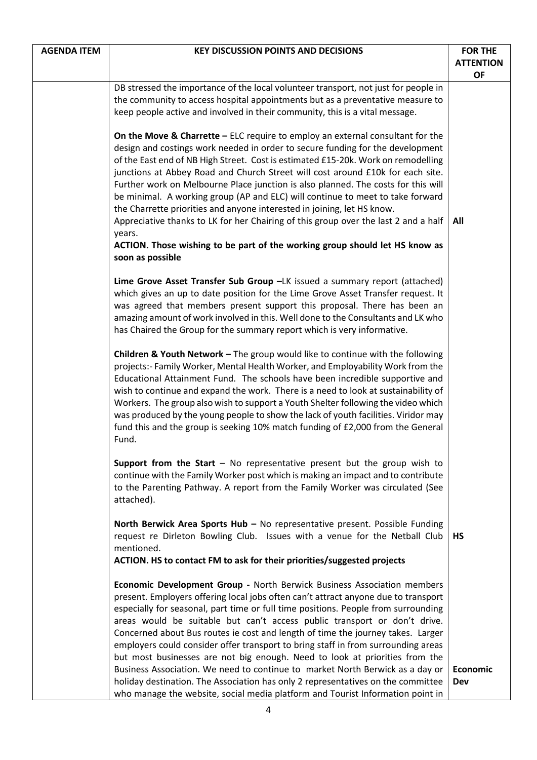| <b>AGENDA ITEM</b> | <b>KEY DISCUSSION POINTS AND DECISIONS</b>                                                                                                                               | <b>FOR THE</b>                |
|--------------------|--------------------------------------------------------------------------------------------------------------------------------------------------------------------------|-------------------------------|
|                    |                                                                                                                                                                          | <b>ATTENTION</b><br><b>OF</b> |
|                    | DB stressed the importance of the local volunteer transport, not just for people in                                                                                      |                               |
|                    | the community to access hospital appointments but as a preventative measure to<br>keep people active and involved in their community, this is a vital message.           |                               |
|                    |                                                                                                                                                                          |                               |
|                    | On the Move & Charrette $-$ ELC require to employ an external consultant for the                                                                                         |                               |
|                    | design and costings work needed in order to secure funding for the development<br>of the East end of NB High Street. Cost is estimated £15-20k. Work on remodelling      |                               |
|                    | junctions at Abbey Road and Church Street will cost around £10k for each site.                                                                                           |                               |
|                    | Further work on Melbourne Place junction is also planned. The costs for this will<br>be minimal. A working group (AP and ELC) will continue to meet to take forward      |                               |
|                    | the Charrette priorities and anyone interested in joining, let HS know.                                                                                                  |                               |
|                    | Appreciative thanks to LK for her Chairing of this group over the last 2 and a half                                                                                      | All                           |
|                    | years.<br>ACTION. Those wishing to be part of the working group should let HS know as                                                                                    |                               |
|                    | soon as possible                                                                                                                                                         |                               |
|                    | Lime Grove Asset Transfer Sub Group -LK issued a summary report (attached)                                                                                               |                               |
|                    | which gives an up to date position for the Lime Grove Asset Transfer request. It                                                                                         |                               |
|                    | was agreed that members present support this proposal. There has been an<br>amazing amount of work involved in this. Well done to the Consultants and LK who             |                               |
|                    | has Chaired the Group for the summary report which is very informative.                                                                                                  |                               |
|                    | <b>Children &amp; Youth Network - The group would like to continue with the following</b>                                                                                |                               |
|                    | projects:- Family Worker, Mental Health Worker, and Employability Work from the                                                                                          |                               |
|                    | Educational Attainment Fund. The schools have been incredible supportive and<br>wish to continue and expand the work. There is a need to look at sustainability of       |                               |
|                    | Workers. The group also wish to support a Youth Shelter following the video which                                                                                        |                               |
|                    | was produced by the young people to show the lack of youth facilities. Viridor may                                                                                       |                               |
|                    | fund this and the group is seeking 10% match funding of £2,000 from the General<br>Fund.                                                                                 |                               |
|                    | <b>Support from the Start - No representative present but the group wish to</b>                                                                                          |                               |
|                    | continue with the Family Worker post which is making an impact and to contribute                                                                                         |                               |
|                    | to the Parenting Pathway. A report from the Family Worker was circulated (See                                                                                            |                               |
|                    | attached).                                                                                                                                                               |                               |
|                    | North Berwick Area Sports Hub - No representative present. Possible Funding<br>request re Dirleton Bowling Club. Issues with a venue for the Netball Club                | <b>HS</b>                     |
|                    | mentioned.                                                                                                                                                               |                               |
|                    | ACTION. HS to contact FM to ask for their priorities/suggested projects                                                                                                  |                               |
|                    | Economic Development Group - North Berwick Business Association members                                                                                                  |                               |
|                    | present. Employers offering local jobs often can't attract anyone due to transport<br>especially for seasonal, part time or full time positions. People from surrounding |                               |
|                    | areas would be suitable but can't access public transport or don't drive.                                                                                                |                               |
|                    | Concerned about Bus routes ie cost and length of time the journey takes. Larger                                                                                          |                               |
|                    | employers could consider offer transport to bring staff in from surrounding areas<br>but most businesses are not big enough. Need to look at priorities from the         |                               |
|                    | Business Association. We need to continue to market North Berwick as a day or                                                                                            | <b>Economic</b>               |
|                    | holiday destination. The Association has only 2 representatives on the committee<br>who manage the website, social media platform and Tourist Information point in       | Dev                           |
|                    |                                                                                                                                                                          |                               |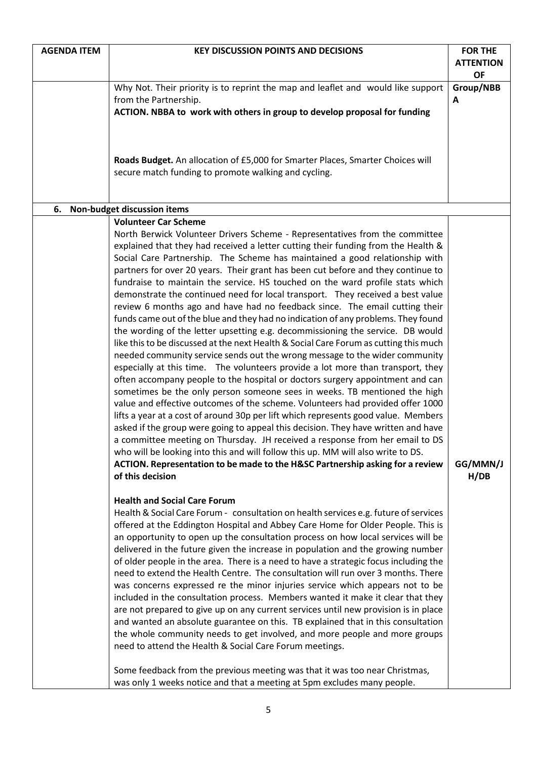| <b>AGENDA ITEM</b> | <b>KEY DISCUSSION POINTS AND DECISIONS</b>                                                                                                                          | <b>FOR THE</b>   |
|--------------------|---------------------------------------------------------------------------------------------------------------------------------------------------------------------|------------------|
|                    |                                                                                                                                                                     | <b>ATTENTION</b> |
|                    |                                                                                                                                                                     | <b>OF</b>        |
|                    | Why Not. Their priority is to reprint the map and leaflet and would like support                                                                                    | Group/NBB        |
|                    | from the Partnership.                                                                                                                                               | A                |
|                    | ACTION. NBBA to work with others in group to develop proposal for funding                                                                                           |                  |
|                    |                                                                                                                                                                     |                  |
|                    |                                                                                                                                                                     |                  |
|                    | Roads Budget. An allocation of £5,000 for Smarter Places, Smarter Choices will                                                                                      |                  |
|                    | secure match funding to promote walking and cycling.                                                                                                                |                  |
|                    |                                                                                                                                                                     |                  |
|                    |                                                                                                                                                                     |                  |
| 6.                 | Non-budget discussion items                                                                                                                                         |                  |
|                    | <b>Volunteer Car Scheme</b><br>North Berwick Volunteer Drivers Scheme - Representatives from the committee                                                          |                  |
|                    | explained that they had received a letter cutting their funding from the Health &                                                                                   |                  |
|                    | Social Care Partnership. The Scheme has maintained a good relationship with                                                                                         |                  |
|                    | partners for over 20 years. Their grant has been cut before and they continue to                                                                                    |                  |
|                    | fundraise to maintain the service. HS touched on the ward profile stats which                                                                                       |                  |
|                    | demonstrate the continued need for local transport. They received a best value                                                                                      |                  |
|                    | review 6 months ago and have had no feedback since. The email cutting their                                                                                         |                  |
|                    | funds came out of the blue and they had no indication of any problems. They found                                                                                   |                  |
|                    | the wording of the letter upsetting e.g. decommissioning the service. DB would                                                                                      |                  |
|                    | like this to be discussed at the next Health & Social Care Forum as cutting this much                                                                               |                  |
|                    | needed community service sends out the wrong message to the wider community                                                                                         |                  |
|                    | especially at this time. The volunteers provide a lot more than transport, they                                                                                     |                  |
|                    | often accompany people to the hospital or doctors surgery appointment and can                                                                                       |                  |
|                    | sometimes be the only person someone sees in weeks. TB mentioned the high<br>value and effective outcomes of the scheme. Volunteers had provided offer 1000         |                  |
|                    | lifts a year at a cost of around 30p per lift which represents good value. Members                                                                                  |                  |
|                    | asked if the group were going to appeal this decision. They have written and have                                                                                   |                  |
|                    | a committee meeting on Thursday. JH received a response from her email to DS                                                                                        |                  |
|                    | who will be looking into this and will follow this up. MM will also write to DS.                                                                                    |                  |
|                    | ACTION. Representation to be made to the H&SC Partnership asking for a review                                                                                       | GG/MMN/J         |
|                    | of this decision                                                                                                                                                    | H/DB             |
|                    |                                                                                                                                                                     |                  |
|                    | <b>Health and Social Care Forum</b>                                                                                                                                 |                  |
|                    | Health & Social Care Forum - consultation on health services e.g. future of services                                                                                |                  |
|                    | offered at the Eddington Hospital and Abbey Care Home for Older People. This is                                                                                     |                  |
|                    | an opportunity to open up the consultation process on how local services will be<br>delivered in the future given the increase in population and the growing number |                  |
|                    | of older people in the area. There is a need to have a strategic focus including the                                                                                |                  |
|                    | need to extend the Health Centre. The consultation will run over 3 months. There                                                                                    |                  |
|                    | was concerns expressed re the minor injuries service which appears not to be                                                                                        |                  |
|                    | included in the consultation process. Members wanted it make it clear that they                                                                                     |                  |
|                    | are not prepared to give up on any current services until new provision is in place                                                                                 |                  |
|                    | and wanted an absolute guarantee on this. TB explained that in this consultation                                                                                    |                  |
|                    | the whole community needs to get involved, and more people and more groups                                                                                          |                  |
|                    | need to attend the Health & Social Care Forum meetings.                                                                                                             |                  |
|                    |                                                                                                                                                                     |                  |
|                    | Some feedback from the previous meeting was that it was too near Christmas,                                                                                         |                  |
|                    | was only 1 weeks notice and that a meeting at 5pm excludes many people.                                                                                             |                  |